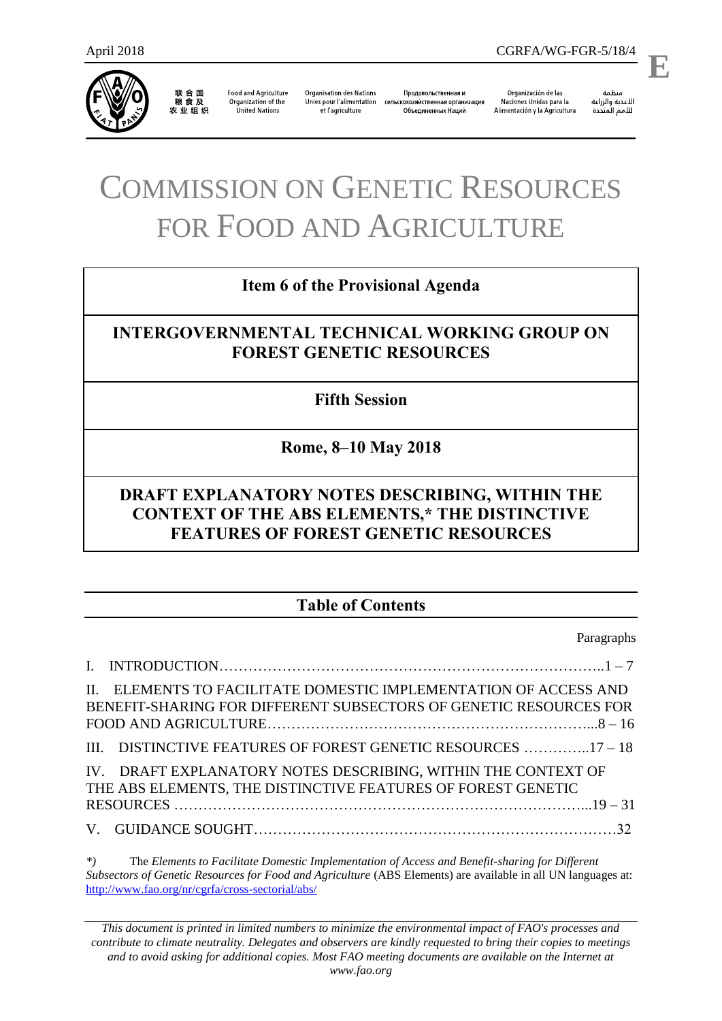

联合国<br>粮食及 农业组织

**Food and Agriculture** Organization of the United Nations

**Organisation des Nations** Unies pour l'alimentation сельскохозяйственная организация et l'agriculture

Продовольственная и Объединенных Наций

Organización de las Naciones Unidas para la Alimentación y la Agricultura

منظمة الأغذية والزراعة

.

**E**

# COMMISSION ON GENETIC RESOURCES FOR FOOD AND AGRICULTURE

## **Item 6 of the Provisional Agenda**

# **INTERGOVERNMENTAL TECHNICAL WORKING GROUP ON FOREST GENETIC RESOURCES**

## **Fifth Session**

## **Rome, 8–10 May 2018**

# **DRAFT EXPLANATORY NOTES DESCRIBING, WITHIN THE CONTEXT OF THE ABS ELEMENTS,\* THE DISTINCTIVE FEATURES OF FOREST GENETIC RESOURCES**

# **Table of Contents**

Paragraphs

| II. ELEMENTS TO FACILITATE DOMESTIC IMPLEMENTATION OF ACCESS AND<br>BENEFIT-SHARING FOR DIFFERENT SUBSECTORS OF GENETIC RESOURCES FOR |  |
|---------------------------------------------------------------------------------------------------------------------------------------|--|
| III. DISTINCTIVE FEATURES OF FOREST GENETIC RESOURCES 17 - 18                                                                         |  |
| IV. DRAFT EXPLANATORY NOTES DESCRIBING, WITHIN THE CONTEXT OF<br>THE ABS ELEMENTS, THE DISTINCTIVE FEATURES OF FOREST GENETIC         |  |
|                                                                                                                                       |  |

*\*)* The *Elements to Facilitate Domestic Implementation of Access and Benefit-sharing for Different Subsectors of Genetic Resources for Food and Agriculture* (ABS Elements) are available in all UN languages at: <http://www.fao.org/nr/cgrfa/cross-sectorial/abs/>

*This document is printed in limited numbers to minimize the environmental impact of FAO's processes and contribute to climate neutrality. Delegates and observers are kindly requested to bring their copies to meetings and to avoid asking for additional copies. Most FAO meeting documents are available on the Internet at www.fao.org*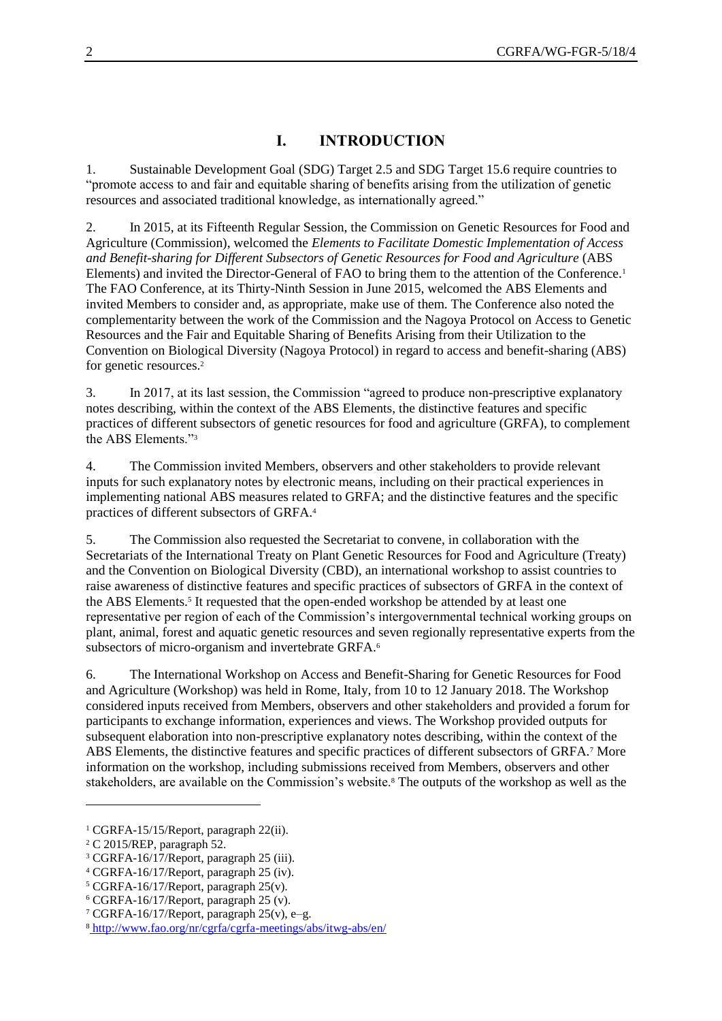## **I. INTRODUCTION**

1. Sustainable Development Goal (SDG) Target 2.5 and SDG Target 15.6 require countries to "promote access to and fair and equitable sharing of benefits arising from the utilization of genetic resources and associated traditional knowledge, as internationally agreed."

2. In 2015, at its Fifteenth Regular Session, the Commission on Genetic Resources for Food and Agriculture (Commission), welcomed the *Elements to Facilitate Domestic Implementation of Access and Benefit-sharing for Different Subsectors of Genetic Resources for Food and Agriculture* (ABS Elements) and invited the Director-General of FAO to bring them to the attention of the Conference.<sup>1</sup> The FAO Conference, at its Thirty-Ninth Session in June 2015, welcomed the ABS Elements and invited Members to consider and, as appropriate, make use of them. The Conference also noted the complementarity between the work of the Commission and the Nagoya Protocol on Access to Genetic Resources and the Fair and Equitable Sharing of Benefits Arising from their Utilization to the Convention on Biological Diversity (Nagoya Protocol) in regard to access and benefit-sharing (ABS) for genetic resources.<sup>2</sup>

3. In 2017, at its last session, the Commission "agreed to produce non-prescriptive explanatory notes describing, within the context of the ABS Elements, the distinctive features and specific practices of different subsectors of genetic resources for food and agriculture (GRFA), to complement the ABS Elements."<sup>3</sup>

4. The Commission invited Members, observers and other stakeholders to provide relevant inputs for such explanatory notes by electronic means, including on their practical experiences in implementing national ABS measures related to GRFA; and the distinctive features and the specific practices of different subsectors of GRFA.<sup>4</sup>

5. The Commission also requested the Secretariat to convene, in collaboration with the Secretariats of the International Treaty on Plant Genetic Resources for Food and Agriculture (Treaty) and the Convention on Biological Diversity (CBD), an international workshop to assist countries to raise awareness of distinctive features and specific practices of subsectors of GRFA in the context of the ABS Elements.<sup>5</sup> It requested that the open-ended workshop be attended by at least one representative per region of each of the Commission's intergovernmental technical working groups on plant, animal, forest and aquatic genetic resources and seven regionally representative experts from the subsectors of micro-organism and invertebrate GRFA.<sup>6</sup>

6. The International Workshop on Access and Benefit-Sharing for Genetic Resources for Food and Agriculture (Workshop) was held in Rome, Italy, from 10 to 12 January 2018. The Workshop considered inputs received from Members, observers and other stakeholders and provided a forum for participants to exchange information, experiences and views. The Workshop provided outputs for subsequent elaboration into non-prescriptive explanatory notes describing, within the context of the ABS Elements, the distinctive features and specific practices of different subsectors of GRFA.<sup>7</sup> More information on the workshop, including submissions received from Members, observers and other stakeholders, are available on the Commission's website.<sup>8</sup> The outputs of the workshop as well as the

<sup>1</sup> CGRFA-15/15/Report, paragraph 22(ii).

<sup>2</sup> C 2015/REP, paragraph 52.

<sup>3</sup> CGRFA-16/17/Report, paragraph 25 (iii).

<sup>4</sup> CGRFA-16/17/Report, paragraph 25 (iv).

<sup>5</sup> CGRFA-16/17/Report, paragraph 25(v).

<sup>6</sup> CGRFA-16/17/Report, paragraph 25 (v).

<sup>7</sup> CGRFA-16/17/Report, paragraph 25(v), e–g.

<sup>8</sup> <http://www.fao.org/nr/cgrfa/cgrfa-meetings/abs/itwg-abs/en/>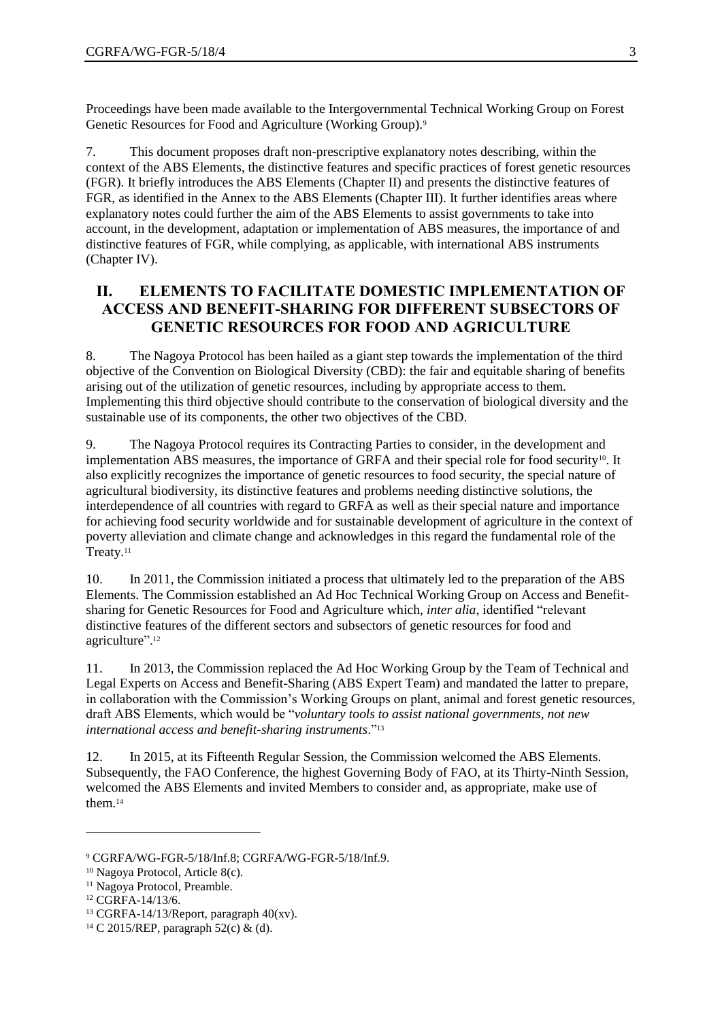Proceedings have been made available to the Intergovernmental Technical Working Group on Forest Genetic Resources for Food and Agriculture (Working Group).<sup>9</sup>

7. This document proposes draft non-prescriptive explanatory notes describing, within the context of the ABS Elements, the distinctive features and specific practices of forest genetic resources (FGR). It briefly introduces the ABS Elements (Chapter II) and presents the distinctive features of FGR, as identified in the Annex to the ABS Elements (Chapter III). It further identifies areas where explanatory notes could further the aim of the ABS Elements to assist governments to take into account, in the development, adaptation or implementation of ABS measures, the importance of and distinctive features of FGR, while complying, as applicable, with international ABS instruments (Chapter IV).

## **II. ELEMENTS TO FACILITATE DOMESTIC IMPLEMENTATION OF ACCESS AND BENEFIT-SHARING FOR DIFFERENT SUBSECTORS OF GENETIC RESOURCES FOR FOOD AND AGRICULTURE**

8. The Nagoya Protocol has been hailed as a giant step towards the implementation of the third objective of the Convention on Biological Diversity (CBD): the fair and equitable sharing of benefits arising out of the utilization of genetic resources, including by appropriate access to them. Implementing this third objective should contribute to the conservation of biological diversity and the sustainable use of its components, the other two objectives of the CBD.

9. The Nagoya Protocol requires its Contracting Parties to consider, in the development and implementation ABS measures, the importance of GRFA and their special role for food security<sup>10</sup>. It also explicitly recognizes the importance of genetic resources to food security, the special nature of agricultural biodiversity, its distinctive features and problems needing distinctive solutions, the interdependence of all countries with regard to GRFA as well as their special nature and importance for achieving food security worldwide and for sustainable development of agriculture in the context of poverty alleviation and climate change and acknowledges in this regard the fundamental role of the Treaty.<sup>11</sup>

10. In 2011, the Commission initiated a process that ultimately led to the preparation of the ABS Elements. The Commission established an Ad Hoc Technical Working Group on Access and Benefitsharing for Genetic Resources for Food and Agriculture which, *inter alia*, identified "relevant distinctive features of the different sectors and subsectors of genetic resources for food and agriculture".<sup>12</sup>

11. In 2013, the Commission replaced the Ad Hoc Working Group by the Team of Technical and Legal Experts on Access and Benefit-Sharing (ABS Expert Team) and mandated the latter to prepare, in collaboration with the Commission's Working Groups on plant, animal and forest genetic resources, draft ABS Elements, which would be "*voluntary tools to assist national governments, not new international access and benefit-sharing instruments*."<sup>13</sup>

12. In 2015, at its Fifteenth Regular Session, the Commission welcomed the ABS Elements. Subsequently, the FAO Conference, the highest Governing Body of FAO, at its Thirty-Ninth Session, welcomed the ABS Elements and invited Members to consider and, as appropriate, make use of them.<sup>14</sup>

 $\overline{a}$ 

<sup>9</sup> CGRFA/WG-FGR-5/18/Inf.8; CGRFA/WG-FGR-5/18/Inf.9.

<sup>10</sup> Nagoya Protocol, Article 8(c).

<sup>&</sup>lt;sup>11</sup> Nagoya Protocol, Preamble.

<sup>12</sup> CGRFA-14/13/6.

<sup>13</sup> CGRFA-14/13/Report, paragraph 40(xv).

<sup>14</sup> C 2015/REP, paragraph 52(c) & (d).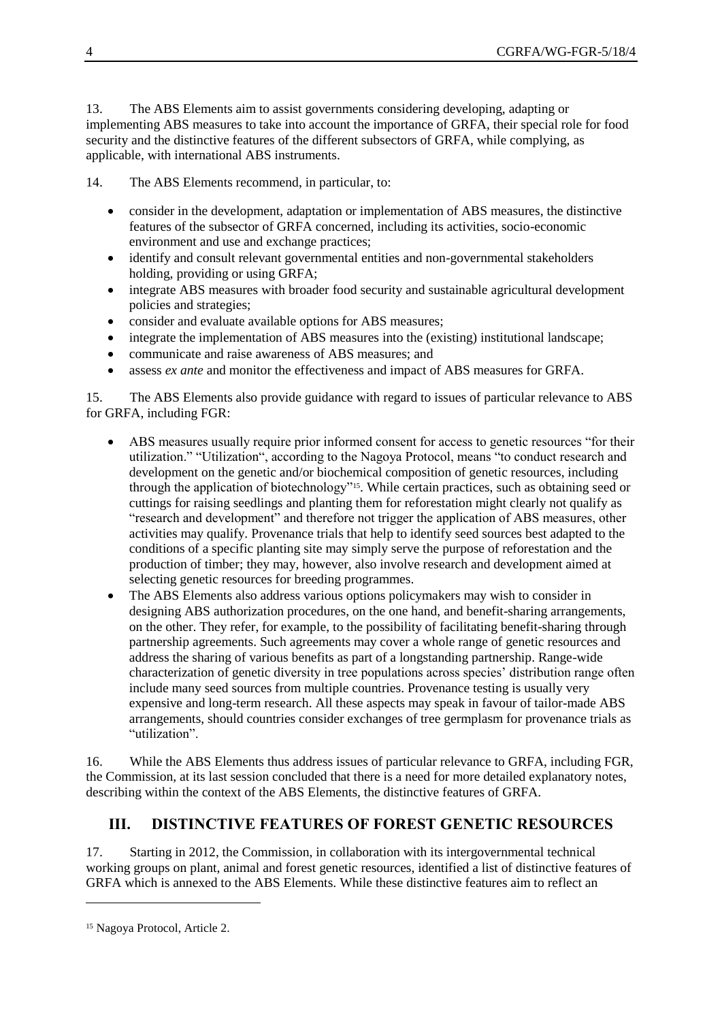13. The ABS Elements aim to assist governments considering developing, adapting or implementing ABS measures to take into account the importance of GRFA, their special role for food security and the distinctive features of the different subsectors of GRFA, while complying, as applicable, with international ABS instruments.

14. The ABS Elements recommend, in particular, to:

- consider in the development, adaptation or implementation of ABS measures, the distinctive features of the subsector of GRFA concerned, including its activities, socio-economic environment and use and exchange practices;
- identify and consult relevant governmental entities and non-governmental stakeholders holding, providing or using GRFA;
- integrate ABS measures with broader food security and sustainable agricultural development policies and strategies;
- consider and evaluate available options for ABS measures;
- integrate the implementation of ABS measures into the (existing) institutional landscape;
- communicate and raise awareness of ABS measures; and
- assess *ex ante* and monitor the effectiveness and impact of ABS measures for GRFA.

15. The ABS Elements also provide guidance with regard to issues of particular relevance to ABS for GRFA, including FGR:

- ABS measures usually require prior informed consent for access to genetic resources "for their utilization." "Utilization", according to the Nagoya Protocol, means "to conduct research and development on the genetic and/or biochemical composition of genetic resources, including through the application of biotechnology"15. While certain practices, such as obtaining seed or cuttings for raising seedlings and planting them for reforestation might clearly not qualify as "research and development" and therefore not trigger the application of ABS measures, other activities may qualify. Provenance trials that help to identify seed sources best adapted to the conditions of a specific planting site may simply serve the purpose of reforestation and the production of timber; they may, however, also involve research and development aimed at selecting genetic resources for breeding programmes.
- The ABS Elements also address various options policymakers may wish to consider in designing ABS authorization procedures, on the one hand, and benefit-sharing arrangements, on the other. They refer, for example, to the possibility of facilitating benefit-sharing through partnership agreements. Such agreements may cover a whole range of genetic resources and address the sharing of various benefits as part of a longstanding partnership. Range-wide characterization of genetic diversity in tree populations across species' distribution range often include many seed sources from multiple countries. Provenance testing is usually very expensive and long-term research. All these aspects may speak in favour of tailor-made ABS arrangements, should countries consider exchanges of tree germplasm for provenance trials as "utilization".

16. While the ABS Elements thus address issues of particular relevance to GRFA, including FGR, the Commission, at its last session concluded that there is a need for more detailed explanatory notes, describing within the context of the ABS Elements, the distinctive features of GRFA.

# **III. DISTINCTIVE FEATURES OF FOREST GENETIC RESOURCES**

17. Starting in 2012, the Commission, in collaboration with its intergovernmental technical working groups on plant, animal and forest genetic resources, identified a list of distinctive features of GRFA which is annexed to the ABS Elements. While these distinctive features aim to reflect an

<sup>15</sup> Nagoya Protocol, Article 2.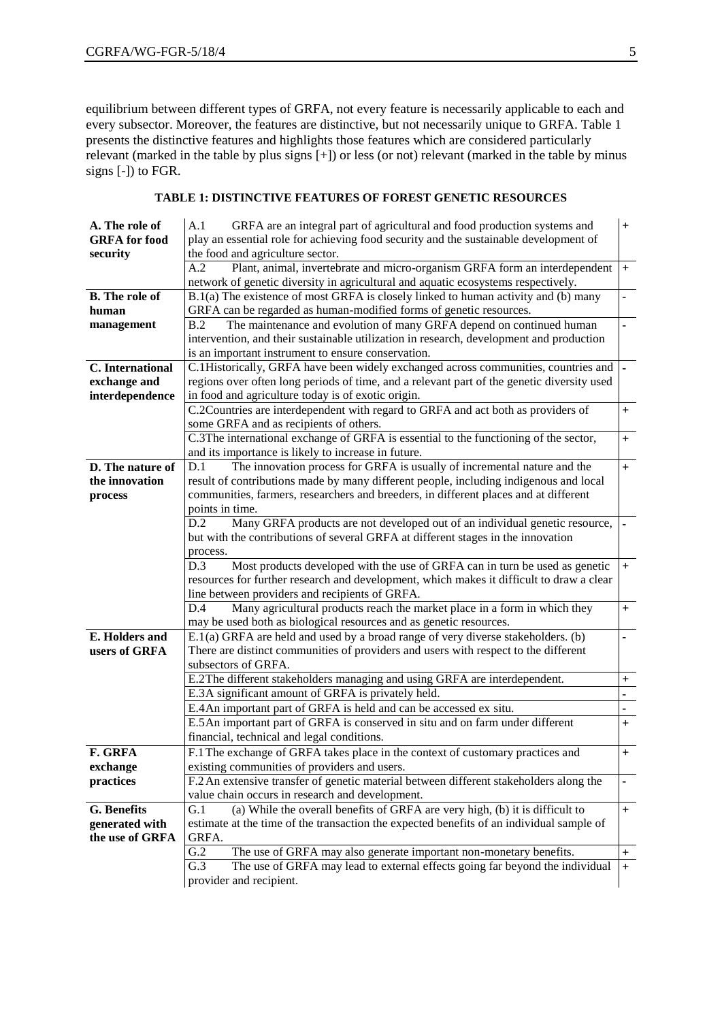equilibrium between different types of GRFA, not every feature is necessarily applicable to each and every subsector. Moreover, the features are distinctive, but not necessarily unique to GRFA. Table 1 presents the distinctive features and highlights those features which are considered particularly relevant (marked in the table by plus signs  $[+]$ ) or less (or not) relevant (marked in the table by minus signs [-]) to FGR.

| A. The role of        | A.1<br>GRFA are an integral part of agricultural and food production systems and           | $+$                      |
|-----------------------|--------------------------------------------------------------------------------------------|--------------------------|
| <b>GRFA</b> for food  | play an essential role for achieving food security and the sustainable development of      |                          |
| security              | the food and agriculture sector.                                                           |                          |
|                       | Plant, animal, invertebrate and micro-organism GRFA form an interdependent<br>A.2          | $+$                      |
|                       | network of genetic diversity in agricultural and aquatic ecosystems respectively.          |                          |
| <b>B.</b> The role of | B.1(a) The existence of most GRFA is closely linked to human activity and (b) many         |                          |
| human                 | GRFA can be regarded as human-modified forms of genetic resources.                         |                          |
|                       | B.2<br>The maintenance and evolution of many GRFA depend on continued human                |                          |
| management            |                                                                                            |                          |
|                       | intervention, and their sustainable utilization in research, development and production    |                          |
|                       | is an important instrument to ensure conservation.                                         |                          |
| C. International      | C.1Historically, GRFA have been widely exchanged across communities, countries and         |                          |
| exchange and          | regions over often long periods of time, and a relevant part of the genetic diversity used |                          |
| interdependence       | in food and agriculture today is of exotic origin.                                         |                          |
|                       | C.2Countries are interdependent with regard to GRFA and act both as providers of           | $+$                      |
|                       | some GRFA and as recipients of others.                                                     |                          |
|                       | C.3The international exchange of GRFA is essential to the functioning of the sector,       | $+$                      |
|                       | and its importance is likely to increase in future.                                        |                          |
| D. The nature of      | The innovation process for GRFA is usually of incremental nature and the<br>D.1            | $+$                      |
| the innovation        | result of contributions made by many different people, including indigenous and local      |                          |
| process               | communities, farmers, researchers and breeders, in different places and at different       |                          |
|                       | points in time.                                                                            |                          |
|                       | Many GRFA products are not developed out of an individual genetic resource,<br>D.2         |                          |
|                       | but with the contributions of several GRFA at different stages in the innovation           |                          |
|                       | process.                                                                                   |                          |
|                       | D.3<br>Most products developed with the use of GRFA can in turn be used as genetic         | $+$                      |
|                       | resources for further research and development, which makes it difficult to draw a clear   |                          |
|                       | line between providers and recipients of GRFA.                                             |                          |
|                       | Many agricultural products reach the market place in a form in which they<br>D.4           | $+$                      |
|                       | may be used both as biological resources and as genetic resources.                         |                          |
| <b>E.</b> Holders and | E.1(a) GRFA are held and used by a broad range of very diverse stakeholders. (b)           | $\overline{\phantom{0}}$ |
| users of GRFA         | There are distinct communities of providers and users with respect to the different        |                          |
|                       | subsectors of GRFA.                                                                        |                          |
|                       | E.2The different stakeholders managing and using GRFA are interdependent.                  | $^{+}$                   |
|                       | E.3A significant amount of GRFA is privately held.                                         | ÷,                       |
|                       | E.4 An important part of GRFA is held and can be accessed ex situ.                         |                          |
|                       |                                                                                            |                          |
|                       | E.5 An important part of GRFA is conserved in situ and on farm under different             | $\ddot{}$                |
|                       | financial, technical and legal conditions.                                                 |                          |
| F. GRFA               | F.1 The exchange of GRFA takes place in the context of customary practices and             | $\ddot{}$                |
| exchange              | existing communities of providers and users.                                               |                          |
| practices             | F.2 An extensive transfer of genetic material between different stakeholders along the     | -                        |
|                       | value chain occurs in research and development.                                            |                          |
| G. Benefits           | (a) While the overall benefits of GRFA are very high, (b) it is difficult to<br>G.1        | $\ddot{}$                |
| generated with        | estimate at the time of the transaction the expected benefits of an individual sample of   |                          |
| the use of GRFA       | GRFA.                                                                                      |                          |
|                       | G.2<br>The use of GRFA may also generate important non-monetary benefits.                  | $^+$                     |
|                       | G.3<br>The use of GRFA may lead to external effects going far beyond the individual        | $\ddot{}$                |
|                       | provider and recipient.                                                                    |                          |
|                       |                                                                                            |                          |

#### **TABLE 1: DISTINCTIVE FEATURES OF FOREST GENETIC RESOURCES**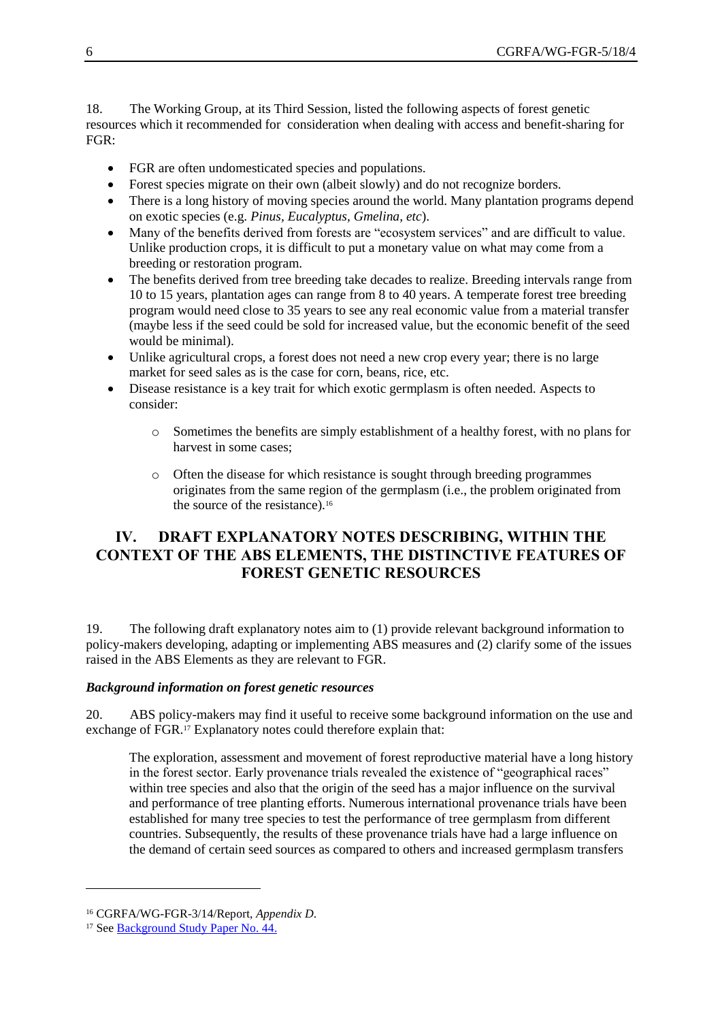18. The Working Group, at its Third Session, listed the following aspects of forest genetic resources which it recommended for consideration when dealing with access and benefit-sharing for FGR:

- FGR are often undomesticated species and populations.
- Forest species migrate on their own (albeit slowly) and do not recognize borders.
- There is a long history of moving species around the world. Many plantation programs depend on exotic species (e.g. *Pinus, Eucalyptus, Gmelina, etc*).
- Many of the benefits derived from forests are "ecosystem services" and are difficult to value. Unlike production crops, it is difficult to put a monetary value on what may come from a breeding or restoration program.
- The benefits derived from tree breeding take decades to realize. Breeding intervals range from 10 to 15 years, plantation ages can range from 8 to 40 years. A temperate forest tree breeding program would need close to 35 years to see any real economic value from a material transfer (maybe less if the seed could be sold for increased value, but the economic benefit of the seed would be minimal).
- Unlike agricultural crops, a forest does not need a new crop every year; there is no large market for seed sales as is the case for corn, beans, rice, etc.
- Disease resistance is a key trait for which exotic germplasm is often needed. Aspects to consider:
	- o Sometimes the benefits are simply establishment of a healthy forest, with no plans for harvest in some cases;
	- o Often the disease for which resistance is sought through breeding programmes originates from the same region of the germplasm (i.e., the problem originated from the source of the resistance).<sup>16</sup>

## **IV. DRAFT EXPLANATORY NOTES DESCRIBING, WITHIN THE CONTEXT OF THE ABS ELEMENTS, THE DISTINCTIVE FEATURES OF FOREST GENETIC RESOURCES**

19. The following draft explanatory notes aim to (1) provide relevant background information to policy-makers developing, adapting or implementing ABS measures and (2) clarify some of the issues raised in the ABS Elements as they are relevant to FGR.

#### *Background information on forest genetic resources*

20. ABS policy-makers may find it useful to receive some background information on the use and exchange of FGR.<sup>17</sup> Explanatory notes could therefore explain that:

The exploration, assessment and movement of forest reproductive material have a long history in the forest sector. Early provenance trials revealed the existence of "geographical races" within tree species and also that the origin of the seed has a major influence on the survival and performance of tree planting efforts. Numerous international provenance trials have been established for many tree species to test the performance of tree germplasm from different countries. Subsequently, the results of these provenance trials have had a large influence on the demand of certain seed sources as compared to others and increased germplasm transfers

<sup>16</sup> CGRFA/WG-FGR-3/14/Report, *Appendix D*.

<sup>&</sup>lt;sup>17</sup> See [Background Study Paper No. 44.](http://www.fao.org/tempref/docrep/fao/meeting/017/ak565e.pdf)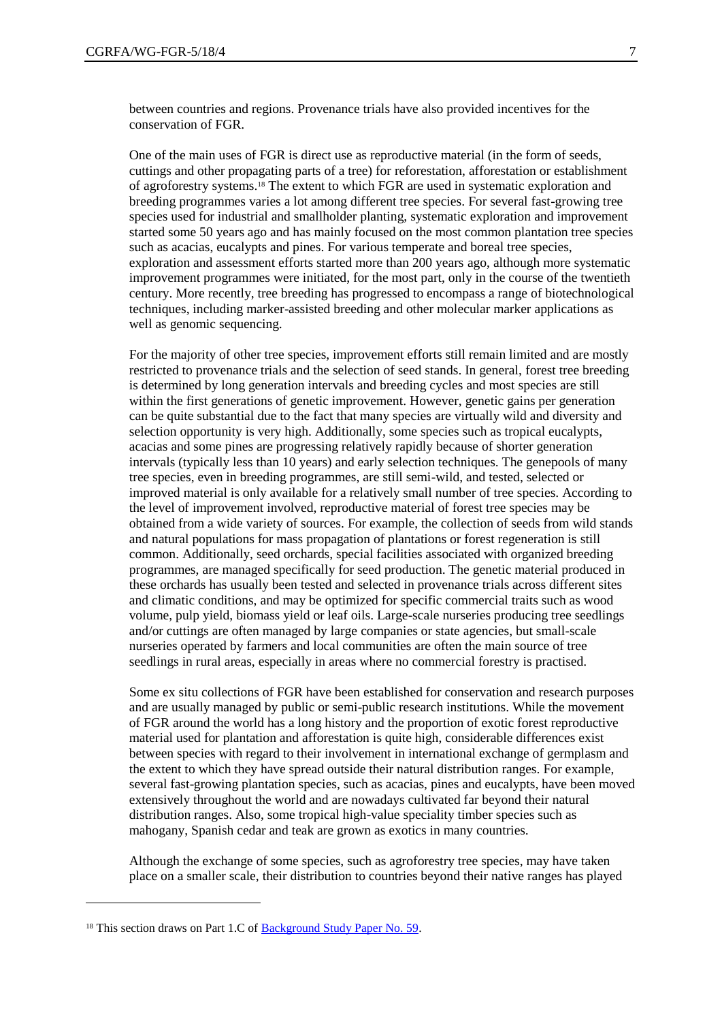between countries and regions. Provenance trials have also provided incentives for the conservation of FGR.

One of the main uses of FGR is direct use as reproductive material (in the form of seeds, cuttings and other propagating parts of a tree) for reforestation, afforestation or establishment of agroforestry systems.<sup>18</sup> The extent to which FGR are used in systematic exploration and breeding programmes varies a lot among different tree species. For several fast-growing tree species used for industrial and smallholder planting, systematic exploration and improvement started some 50 years ago and has mainly focused on the most common plantation tree species such as acacias, eucalypts and pines. For various temperate and boreal tree species, exploration and assessment efforts started more than 200 years ago, although more systematic improvement programmes were initiated, for the most part, only in the course of the twentieth century. More recently, tree breeding has progressed to encompass a range of biotechnological techniques, including marker-assisted breeding and other molecular marker applications as well as genomic sequencing.

For the majority of other tree species, improvement efforts still remain limited and are mostly restricted to provenance trials and the selection of seed stands. In general, forest tree breeding is determined by long generation intervals and breeding cycles and most species are still within the first generations of genetic improvement. However, genetic gains per generation can be quite substantial due to the fact that many species are virtually wild and diversity and selection opportunity is very high. Additionally, some species such as tropical eucalypts, acacias and some pines are progressing relatively rapidly because of shorter generation intervals (typically less than 10 years) and early selection techniques. The genepools of many tree species, even in breeding programmes, are still semi-wild, and tested, selected or improved material is only available for a relatively small number of tree species. According to the level of improvement involved, reproductive material of forest tree species may be obtained from a wide variety of sources. For example, the collection of seeds from wild stands and natural populations for mass propagation of plantations or forest regeneration is still common. Additionally, seed orchards, special facilities associated with organized breeding programmes, are managed specifically for seed production. The genetic material produced in these orchards has usually been tested and selected in provenance trials across different sites and climatic conditions, and may be optimized for specific commercial traits such as wood volume, pulp yield, biomass yield or leaf oils. Large-scale nurseries producing tree seedlings and/or cuttings are often managed by large companies or state agencies, but small-scale nurseries operated by farmers and local communities are often the main source of tree seedlings in rural areas, especially in areas where no commercial forestry is practised.

Some ex situ collections of FGR have been established for conservation and research purposes and are usually managed by public or semi-public research institutions. While the movement of FGR around the world has a long history and the proportion of exotic forest reproductive material used for plantation and afforestation is quite high, considerable differences exist between species with regard to their involvement in international exchange of germplasm and the extent to which they have spread outside their natural distribution ranges. For example, several fast-growing plantation species, such as acacias, pines and eucalypts, have been moved extensively throughout the world and are nowadays cultivated far beyond their natural distribution ranges. Also, some tropical high-value speciality timber species such as mahogany, Spanish cedar and teak are grown as exotics in many countries.

Although the exchange of some species, such as agroforestry tree species, may have taken place on a smaller scale, their distribution to countries beyond their native ranges has played

<sup>&</sup>lt;sup>18</sup> This section draws on Part 1.C of **Background Study Paper No. 59**.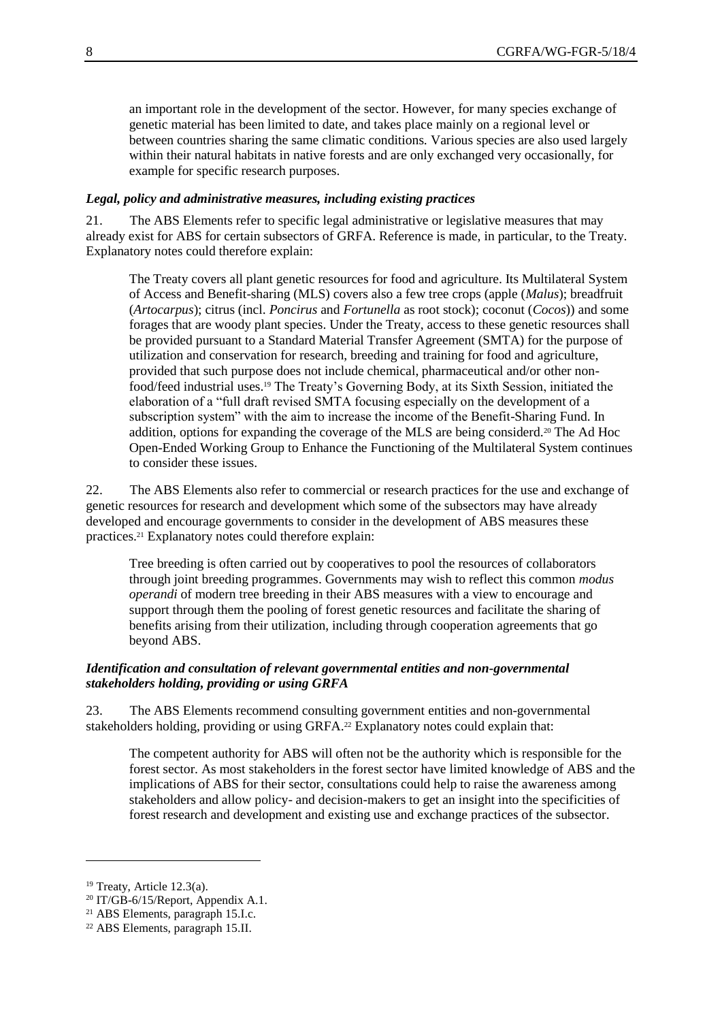an important role in the development of the sector. However, for many species exchange of genetic material has been limited to date, and takes place mainly on a regional level or between countries sharing the same climatic conditions. Various species are also used largely within their natural habitats in native forests and are only exchanged very occasionally, for example for specific research purposes.

#### *Legal, policy and administrative measures, including existing practices*

21. The ABS Elements refer to specific legal administrative or legislative measures that may already exist for ABS for certain subsectors of GRFA. Reference is made, in particular, to the Treaty. Explanatory notes could therefore explain:

The Treaty covers all plant genetic resources for food and agriculture. Its Multilateral System of Access and Benefit-sharing (MLS) covers also a few tree crops (apple (*Malus*); breadfruit (*Artocarpus*); citrus (incl. *Poncirus* and *Fortunella* as root stock); coconut (*Cocos*)) and some forages that are woody plant species. Under the Treaty, access to these genetic resources shall be provided pursuant to a Standard Material Transfer Agreement (SMTA) for the purpose of utilization and conservation for research, breeding and training for food and agriculture, provided that such purpose does not include chemical, pharmaceutical and/or other nonfood/feed industrial uses.<sup>19</sup> The Treaty's Governing Body, at its Sixth Session, initiated the elaboration of a "full draft revised SMTA focusing especially on the development of a subscription system" with the aim to increase the income of the Benefit-Sharing Fund. In addition, options for expanding the coverage of the MLS are being considerd.<sup>20</sup> The Ad Hoc Open-Ended Working Group to Enhance the Functioning of the Multilateral System continues to consider these issues.

22. The ABS Elements also refer to commercial or research practices for the use and exchange of genetic resources for research and development which some of the subsectors may have already developed and encourage governments to consider in the development of ABS measures these practices.<sup>21</sup> Explanatory notes could therefore explain:

Tree breeding is often carried out by cooperatives to pool the resources of collaborators through joint breeding programmes. Governments may wish to reflect this common *modus operandi* of modern tree breeding in their ABS measures with a view to encourage and support through them the pooling of forest genetic resources and facilitate the sharing of benefits arising from their utilization, including through cooperation agreements that go beyond ABS.

#### *Identification and consultation of relevant governmental entities and non-governmental stakeholders holding, providing or using GRFA*

23. The ABS Elements recommend consulting government entities and non-governmental stakeholders holding, providing or using GRFA.<sup>22</sup> Explanatory notes could explain that:

The competent authority for ABS will often not be the authority which is responsible for the forest sector. As most stakeholders in the forest sector have limited knowledge of ABS and the implications of ABS for their sector, consultations could help to raise the awareness among stakeholders and allow policy- and decision-makers to get an insight into the specificities of forest research and development and existing use and exchange practices of the subsector.

 $19$  Treaty, Article 12.3(a).

<sup>20</sup> IT/GB-6/15/Report, Appendix A.1.

<sup>21</sup> ABS Elements, paragraph 15.I.c.

<sup>22</sup> ABS Elements, paragraph 15.II.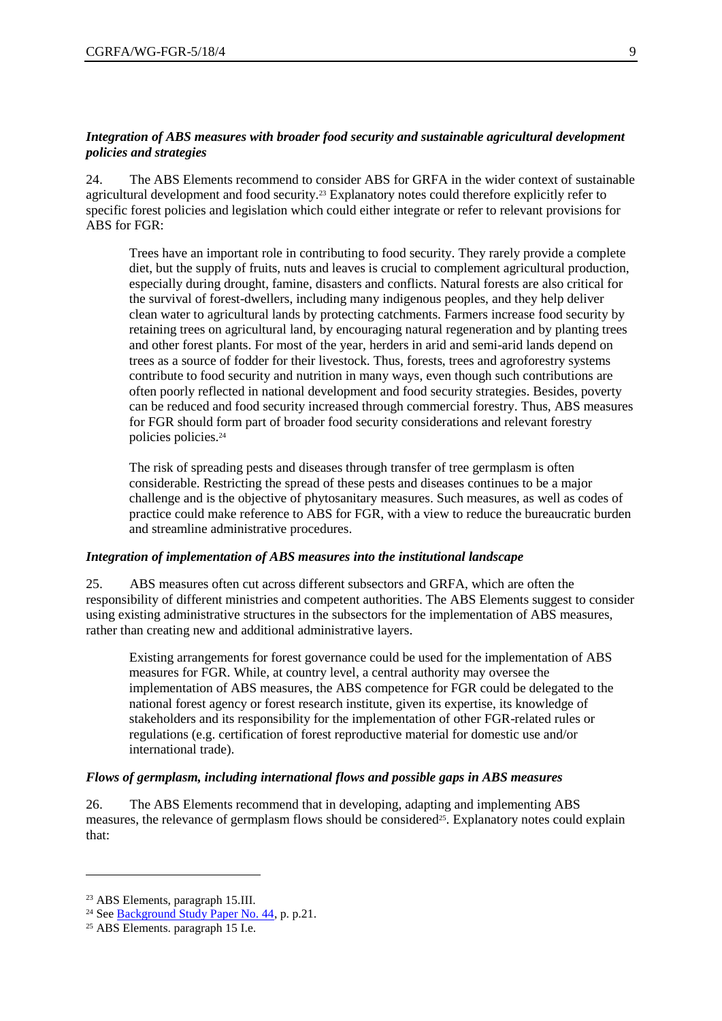#### *Integration of ABS measures with broader food security and sustainable agricultural development policies and strategies*

24. The ABS Elements recommend to consider ABS for GRFA in the wider context of sustainable agricultural development and food security.<sup>23</sup> Explanatory notes could therefore explicitly refer to specific forest policies and legislation which could either integrate or refer to relevant provisions for ABS for FGR:

Trees have an important role in contributing to food security. They rarely provide a complete diet, but the supply of fruits, nuts and leaves is crucial to complement agricultural production, especially during drought, famine, disasters and conflicts. Natural forests are also critical for the survival of forest-dwellers, including many indigenous peoples, and they help deliver clean water to agricultural lands by protecting catchments. Farmers increase food security by retaining trees on agricultural land, by encouraging natural regeneration and by planting trees and other forest plants. For most of the year, herders in arid and semi-arid lands depend on trees as a source of fodder for their livestock. Thus, forests, trees and agroforestry systems contribute to food security and nutrition in many ways, even though such contributions are often poorly reflected in national development and food security strategies. Besides, poverty can be reduced and food security increased through commercial forestry. Thus, ABS measures for FGR should form part of broader food security considerations and relevant forestry policies policies.<sup>24</sup>

The risk of spreading pests and diseases through transfer of tree germplasm is often considerable. Restricting the spread of these pests and diseases continues to be a major challenge and is the objective of phytosanitary measures. Such measures, as well as codes of practice could make reference to ABS for FGR, with a view to reduce the bureaucratic burden and streamline administrative procedures.

#### *Integration of implementation of ABS measures into the institutional landscape*

25. ABS measures often cut across different subsectors and GRFA, which are often the responsibility of different ministries and competent authorities. The ABS Elements suggest to consider using existing administrative structures in the subsectors for the implementation of ABS measures, rather than creating new and additional administrative layers.

Existing arrangements for forest governance could be used for the implementation of ABS measures for FGR. While, at country level, a central authority may oversee the implementation of ABS measures, the ABS competence for FGR could be delegated to the national forest agency or forest research institute, given its expertise, its knowledge of stakeholders and its responsibility for the implementation of other FGR-related rules or regulations (e.g. certification of forest reproductive material for domestic use and/or international trade).

#### *Flows of germplasm, including international flows and possible gaps in ABS measures*

26. The ABS Elements recommend that in developing, adapting and implementing ABS measures, the relevance of germplasm flows should be considered<sup>25</sup>. Explanatory notes could explain that:

 $\overline{a}$ 

<sup>23</sup> ABS Elements, paragraph 15.III.

<sup>&</sup>lt;sup>24</sup> See **Background Study Paper No. 44**, p. p.21.

<sup>25</sup> ABS Elements. paragraph 15 I.e.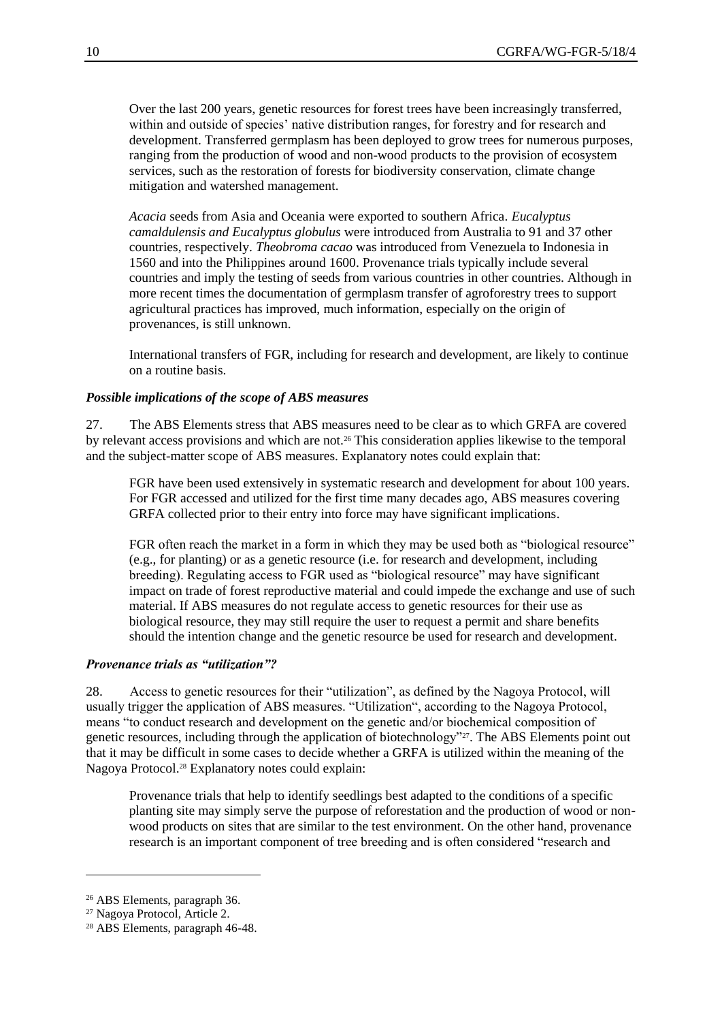Over the last 200 years, genetic resources for forest trees have been increasingly transferred, within and outside of species' native distribution ranges, for forestry and for research and development. Transferred germplasm has been deployed to grow trees for numerous purposes, ranging from the production of wood and non-wood products to the provision of ecosystem services, such as the restoration of forests for biodiversity conservation, climate change mitigation and watershed management.

*Acacia* seeds from Asia and Oceania were exported to southern Africa. *Eucalyptus camaldulensis and Eucalyptus globulus* were introduced from Australia to 91 and 37 other countries, respectively. *Theobroma cacao* was introduced from Venezuela to Indonesia in 1560 and into the Philippines around 1600. Provenance trials typically include several countries and imply the testing of seeds from various countries in other countries. Although in more recent times the documentation of germplasm transfer of agroforestry trees to support agricultural practices has improved, much information, especially on the origin of provenances, is still unknown.

International transfers of FGR, including for research and development, are likely to continue on a routine basis.

#### *Possible implications of the scope of ABS measures*

27. The ABS Elements stress that ABS measures need to be clear as to which GRFA are covered by relevant access provisions and which are not.<sup>26</sup> This consideration applies likewise to the temporal and the subject-matter scope of ABS measures. Explanatory notes could explain that:

FGR have been used extensively in systematic research and development for about 100 years. For FGR accessed and utilized for the first time many decades ago, ABS measures covering GRFA collected prior to their entry into force may have significant implications.

FGR often reach the market in a form in which they may be used both as "biological resource" (e.g., for planting) or as a genetic resource (i.e. for research and development, including breeding). Regulating access to FGR used as "biological resource" may have significant impact on trade of forest reproductive material and could impede the exchange and use of such material. If ABS measures do not regulate access to genetic resources for their use as biological resource, they may still require the user to request a permit and share benefits should the intention change and the genetic resource be used for research and development.

#### *Provenance trials as "utilization"?*

28. Access to genetic resources for their "utilization", as defined by the Nagoya Protocol, will usually trigger the application of ABS measures. "Utilization", according to the Nagoya Protocol, means "to conduct research and development on the genetic and/or biochemical composition of genetic resources, including through the application of biotechnology"<sup>27</sup>. The ABS Elements point out that it may be difficult in some cases to decide whether a GRFA is utilized within the meaning of the Nagoya Protocol.<sup>28</sup> Explanatory notes could explain:

Provenance trials that help to identify seedlings best adapted to the conditions of a specific planting site may simply serve the purpose of reforestation and the production of wood or nonwood products on sites that are similar to the test environment. On the other hand, provenance research is an important component of tree breeding and is often considered "research and

 $\overline{a}$ 

<sup>26</sup> ABS Elements, paragraph 36.

<sup>27</sup> Nagoya Protocol, Article 2.

<sup>28</sup> ABS Elements, paragraph 46-48.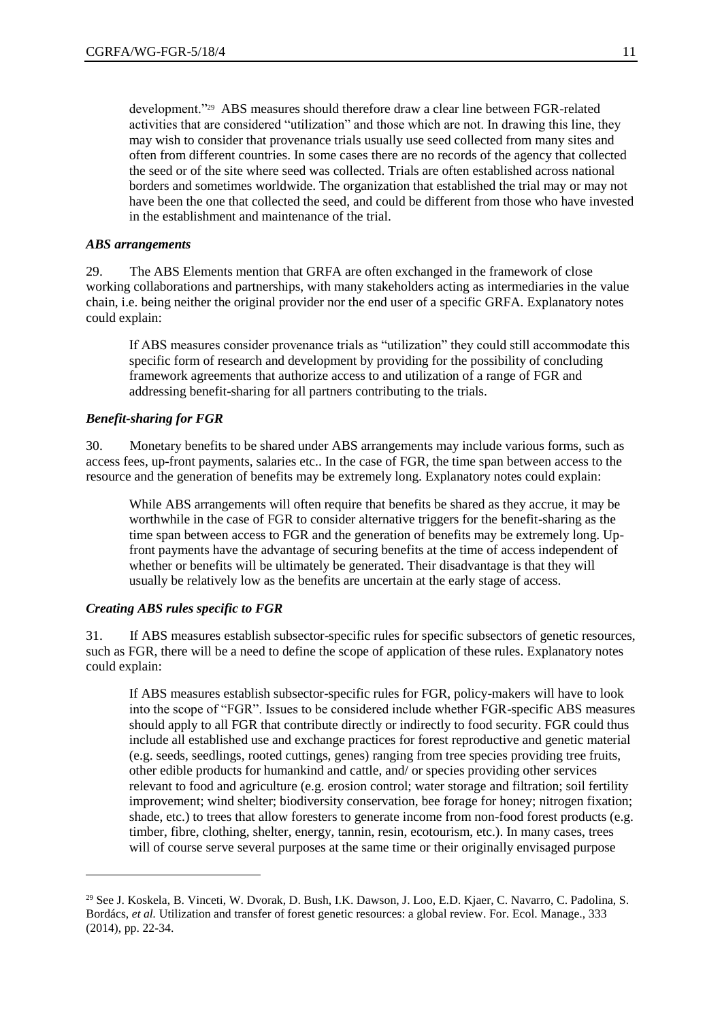development."<sup>29</sup> ABS measures should therefore draw a clear line between FGR-related activities that are considered "utilization" and those which are not. In drawing this line, they may wish to consider that provenance trials usually use seed collected from many sites and often from different countries. In some cases there are no records of the agency that collected the seed or of the site where seed was collected. Trials are often established across national borders and sometimes worldwide. The organization that established the trial may or may not have been the one that collected the seed, and could be different from those who have invested in the establishment and maintenance of the trial.

#### *ABS arrangements*

29. The ABS Elements mention that GRFA are often exchanged in the framework of close working collaborations and partnerships, with many stakeholders acting as intermediaries in the value chain, i.e. being neither the original provider nor the end user of a specific GRFA. Explanatory notes could explain:

If ABS measures consider provenance trials as "utilization" they could still accommodate this specific form of research and development by providing for the possibility of concluding framework agreements that authorize access to and utilization of a range of FGR and addressing benefit-sharing for all partners contributing to the trials.

#### *Benefit-sharing for FGR*

30. Monetary benefits to be shared under ABS arrangements may include various forms, such as access fees, up-front payments, salaries etc.. In the case of FGR, the time span between access to the resource and the generation of benefits may be extremely long. Explanatory notes could explain:

While ABS arrangements will often require that benefits be shared as they accrue, it may be worthwhile in the case of FGR to consider alternative triggers for the benefit-sharing as the time span between access to FGR and the generation of benefits may be extremely long. Upfront payments have the advantage of securing benefits at the time of access independent of whether or benefits will be ultimately be generated. Their disadvantage is that they will usually be relatively low as the benefits are uncertain at the early stage of access.

#### *Creating ABS rules specific to FGR*

 $\overline{a}$ 

31. If ABS measures establish subsector-specific rules for specific subsectors of genetic resources, such as FGR, there will be a need to define the scope of application of these rules. Explanatory notes could explain:

If ABS measures establish subsector-specific rules for FGR, policy-makers will have to look into the scope of "FGR". Issues to be considered include whether FGR-specific ABS measures should apply to all FGR that contribute directly or indirectly to food security. FGR could thus include all established use and exchange practices for forest reproductive and genetic material (e.g. seeds, seedlings, rooted cuttings, genes) ranging from tree species providing tree fruits, other edible products for humankind and cattle, and/ or species providing other services relevant to food and agriculture (e.g. erosion control; water storage and filtration; soil fertility improvement; wind shelter; biodiversity conservation, bee forage for honey; nitrogen fixation; shade, etc.) to trees that allow foresters to generate income from non-food forest products (e.g. timber, fibre, clothing, shelter, energy, tannin, resin, ecotourism, etc.). In many cases, trees will of course serve several purposes at the same time or their originally envisaged purpose

<sup>29</sup> See J. Koskela, B. Vinceti, W. Dvorak, D. Bush, I.K. Dawson, J. Loo, E.D. Kjaer, C. Navarro, C. Padolina, S. Bordács, *et al.* Utilization and transfer of forest genetic resources: a global review. For. Ecol. Manage., 333 (2014), pp. 22-34.